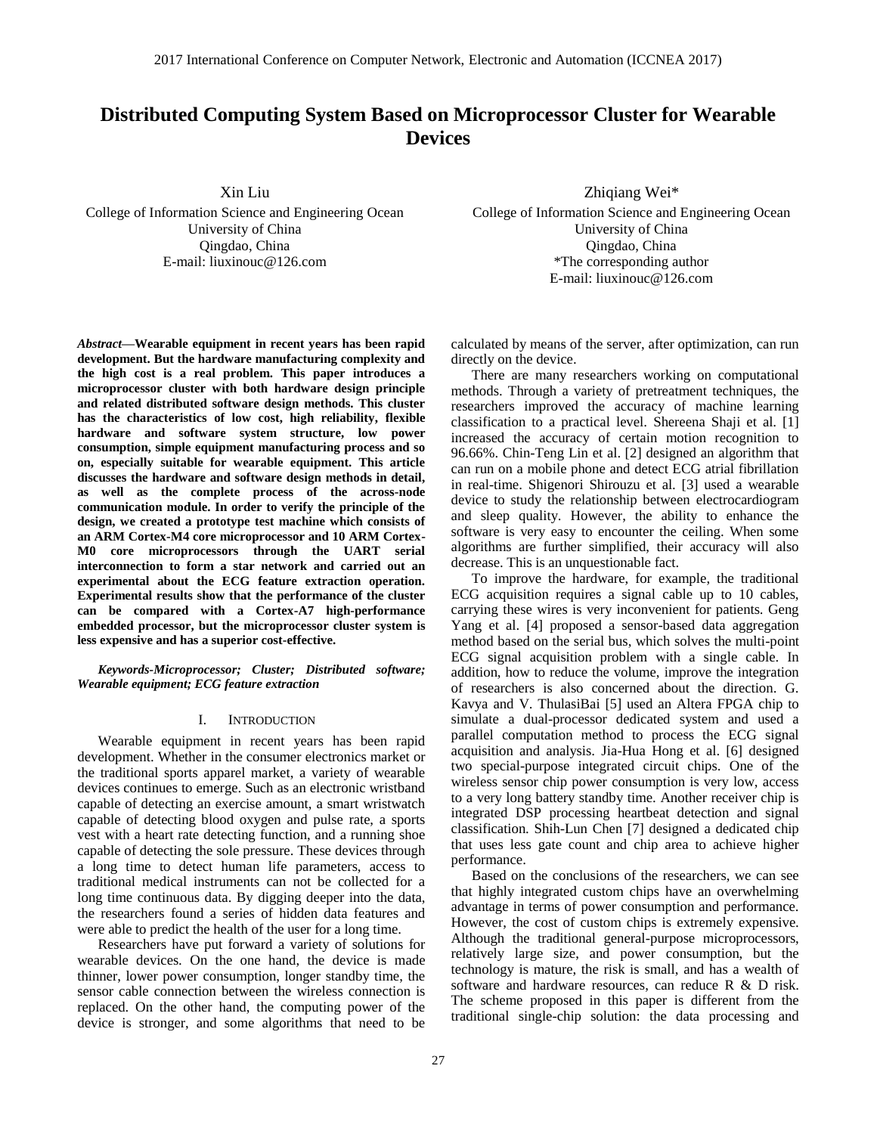# **Distributed Computing System Based on Microprocessor Cluster for Wearable Devices**

Xin Liu

College of Information Science and Engineering Ocean University of China Qingdao, China E-mail: liuxinouc@126.com

*Abstract—***Wearable equipment in recent years has been rapid development. But the hardware manufacturing complexity and the high cost is a real problem. This paper introduces a microprocessor cluster with both hardware design principle and related distributed software design methods. This cluster has the characteristics of low cost, high reliability, flexible hardware and software system structure, low power consumption, simple equipment manufacturing process and so on, especially suitable for wearable equipment. This article discusses the hardware and software design methods in detail, as well as the complete process of the across-node communication module. In order to verify the principle of the design, we created a prototype test machine which consists of an ARM Cortex-M4 core microprocessor and 10 ARM Cortex-M0 core microprocessors through the UART serial interconnection to form a star network and carried out an experimental about the ECG feature extraction operation. Experimental results show that the performance of the cluster can be compared with a Cortex-A7 high-performance embedded processor, but the microprocessor cluster system is less expensive and has a superior cost-effective.**

*Keywords-Microprocessor; Cluster; Distributed software; Wearable equipment; ECG feature extraction*

### I. INTRODUCTION

Wearable equipment in recent years has been rapid development. Whether in the consumer electronics market or the traditional sports apparel market, a variety of wearable devices continues to emerge. Such as an electronic wristband capable of detecting an exercise amount, a smart wristwatch capable of detecting blood oxygen and pulse rate, a sports vest with a heart rate detecting function, and a running shoe capable of detecting the sole pressure. These devices through a long time to detect human life parameters, access to traditional medical instruments can not be collected for a long time continuous data. By digging deeper into the data, the researchers found a series of hidden data features and were able to predict the health of the user for a long time.

Researchers have put forward a variety of solutions for wearable devices. On the one hand, the device is made thinner, lower power consumption, longer standby time, the sensor cable connection between the wireless connection is replaced. On the other hand, the computing power of the device is stronger, and some algorithms that need to be Zhiqiang Wei\*

College of Information Science and Engineering Ocean University of China Qingdao, China \*The corresponding author E-mail: liuxinouc@126.com

calculated by means of the server, after optimization, can run directly on the device.

There are many researchers working on computational methods. Through a variety of pretreatment techniques, the researchers improved the accuracy of machine learning classification to a practical level. Shereena Shaji et al. [1] increased the accuracy of certain motion recognition to 96.66%. Chin-Teng Lin et al. [2] designed an algorithm that can run on a mobile phone and detect ECG atrial fibrillation in real-time. Shigenori Shirouzu et al. [3] used a wearable device to study the relationship between electrocardiogram and sleep quality. However, the ability to enhance the software is very easy to encounter the ceiling. When some algorithms are further simplified, their accuracy will also decrease. This is an unquestionable fact.

To improve the hardware, for example, the traditional ECG acquisition requires a signal cable up to 10 cables, carrying these wires is very inconvenient for patients. Geng Yang et al. [4] proposed a sensor-based data aggregation method based on the serial bus, which solves the multi-point ECG signal acquisition problem with a single cable. In addition, how to reduce the volume, improve the integration of researchers is also concerned about the direction. G. Kavya and V. ThulasiBai [5] used an Altera FPGA chip to simulate a dual-processor dedicated system and used a parallel computation method to process the ECG signal acquisition and analysis. Jia-Hua Hong et al. [6] designed two special-purpose integrated circuit chips. One of the wireless sensor chip power consumption is very low, access to a very long battery standby time. Another receiver chip is integrated DSP processing heartbeat detection and signal classification. Shih-Lun Chen [7] designed a dedicated chip that uses less gate count and chip area to achieve higher performance.

Based on the conclusions of the researchers, we can see that highly integrated custom chips have an overwhelming advantage in terms of power consumption and performance. However, the cost of custom chips is extremely expensive. Although the traditional general-purpose microprocessors, relatively large size, and power consumption, but the technology is mature, the risk is small, and has a wealth of software and hardware resources, can reduce R & D risk. The scheme proposed in this paper is different from the traditional single-chip solution: the data processing and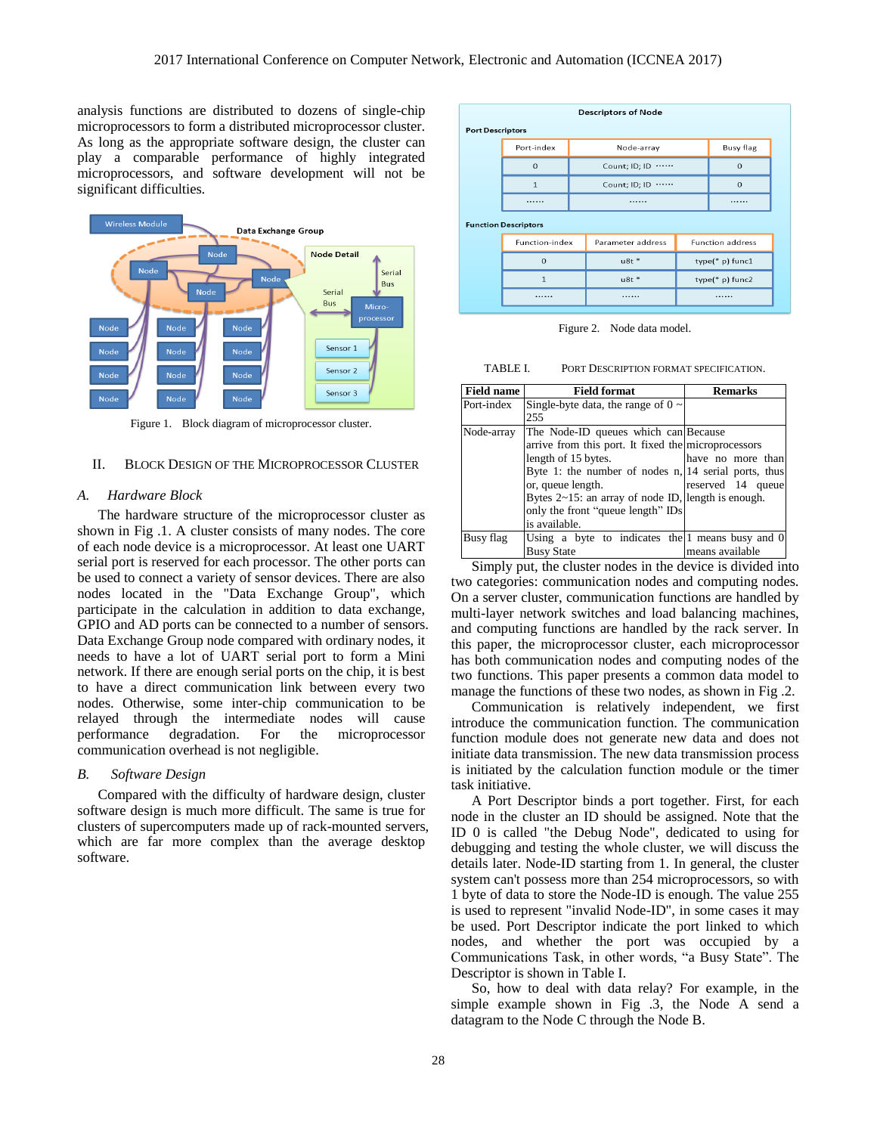analysis functions are distributed to dozens of single-chip microprocessors to form a distributed microprocessor cluster. As long as the appropriate software design, the cluster can play a comparable performance of highly integrated microprocessors, and software development will not be significant difficulties.



Figure 1. Block diagram of microprocessor cluster.

#### II. BLOCK DESIGN OF THE MICROPROCESSOR CLUSTER

## *A. Hardware Block*

The hardware structure of the microprocessor cluster as shown in Fig .1. A cluster consists of many nodes. The core of each node device is a microprocessor. At least one UART serial port is reserved for each processor. The other ports can be used to connect a variety of sensor devices. There are also nodes located in the "Data Exchange Group", which participate in the calculation in addition to data exchange, GPIO and AD ports can be connected to a number of sensors. Data Exchange Group node compared with ordinary nodes, it needs to have a lot of UART serial port to form a Mini network. If there are enough serial ports on the chip, it is best to have a direct communication link between every two nodes. Otherwise, some inter-chip communication to be relayed through the intermediate nodes will cause performance degradation. For the microprocessor communication overhead is not negligible.

#### *B. Software Design*

Compared with the difficulty of hardware design, cluster software design is much more difficult. The same is true for clusters of supercomputers made up of rack-mounted servers, which are far more complex than the average desktop software.

| <b>Descriptors of Node</b>  |                                        |               |                   |                    |                         |  |
|-----------------------------|----------------------------------------|---------------|-------------------|--------------------|-------------------------|--|
| <b>Port Descriptors</b>     |                                        |               |                   |                    |                         |  |
|                             | Port-index                             | Node-array    |                   |                    | <b>Busy flag</b>        |  |
|                             | $\Omega$                               | Count; ID; ID |                   |                    | $\Omega$                |  |
|                             | $\mathbf{1}$                           | Count; ID; ID |                   | $\Omega$           |                         |  |
|                             |                                        |               |                   |                    |                         |  |
| <b>Function Descriptors</b> |                                        |               |                   |                    |                         |  |
|                             | <b>Function-index</b><br>$\Omega$<br>1 |               | Parameter address |                    | <b>Function address</b> |  |
|                             |                                        |               | $u8t *$           | $type(*)$ p) func1 |                         |  |
|                             |                                        |               | $u8t *$           | type(* p) func2    |                         |  |
|                             |                                        |               |                   |                    |                         |  |
|                             |                                        |               |                   |                    |                         |  |

Figure 2. Node data model.

TABLE I. PORT DESCRIPTION FORMAT SPECIFICATION.

| <b>Field name</b> | <b>Field format</b>                                                                                                                                                                                                                                                                                                 | Remarks                                |
|-------------------|---------------------------------------------------------------------------------------------------------------------------------------------------------------------------------------------------------------------------------------------------------------------------------------------------------------------|----------------------------------------|
| Port-index        | Single-byte data, the range of $0 \sim$<br>255                                                                                                                                                                                                                                                                      |                                        |
| Node-array        | The Node-ID queues which can Because<br>arrive from this port. It fixed the microprocessors<br>length of 15 bytes.<br>Byte 1: the number of nodes n, 14 serial ports, thus<br>or, queue length.<br>Bytes $2 \sim 15$ : an array of node ID, length is enough.<br>only the front "queue length" IDs<br>is available. | have no more than<br>reserved 14 queue |
| Busy flag         | Using a byte to indicates the 1 means busy and 0<br><b>Busy State</b>                                                                                                                                                                                                                                               | means available                        |

Simply put, the cluster nodes in the device is divided into two categories: communication nodes and computing nodes. On a server cluster, communication functions are handled by multi-layer network switches and load balancing machines, and computing functions are handled by the rack server. In this paper, the microprocessor cluster, each microprocessor has both communication nodes and computing nodes of the two functions. This paper presents a common data model to manage the functions of these two nodes, as shown in Fig. 2.

Communication is relatively independent, we first introduce the communication function. The communication function module does not generate new data and does not initiate data transmission. The new data transmission process is initiated by the calculation function module or the timer task initiative.

A Port Descriptor binds a port together. First, for each node in the cluster an ID should be assigned. Note that the ID 0 is called "the Debug Node", dedicated to using for debugging and testing the whole cluster, we will discuss the details later. Node-ID starting from 1. In general, the cluster system can't possess more than 254 microprocessors, so with 1 byte of data to store the Node-ID is enough. The value 255 is used to represent "invalid Node-ID", in some cases it may be used. Port Descriptor indicate the port linked to which nodes, and whether the port was occupied by a Communications Task, in other words, "a Busy State". The Descriptor is shown in Table I.

So, how to deal with data relay? For example, in the simple example shown in Fig .3, the Node A send a datagram to the Node C through the Node B.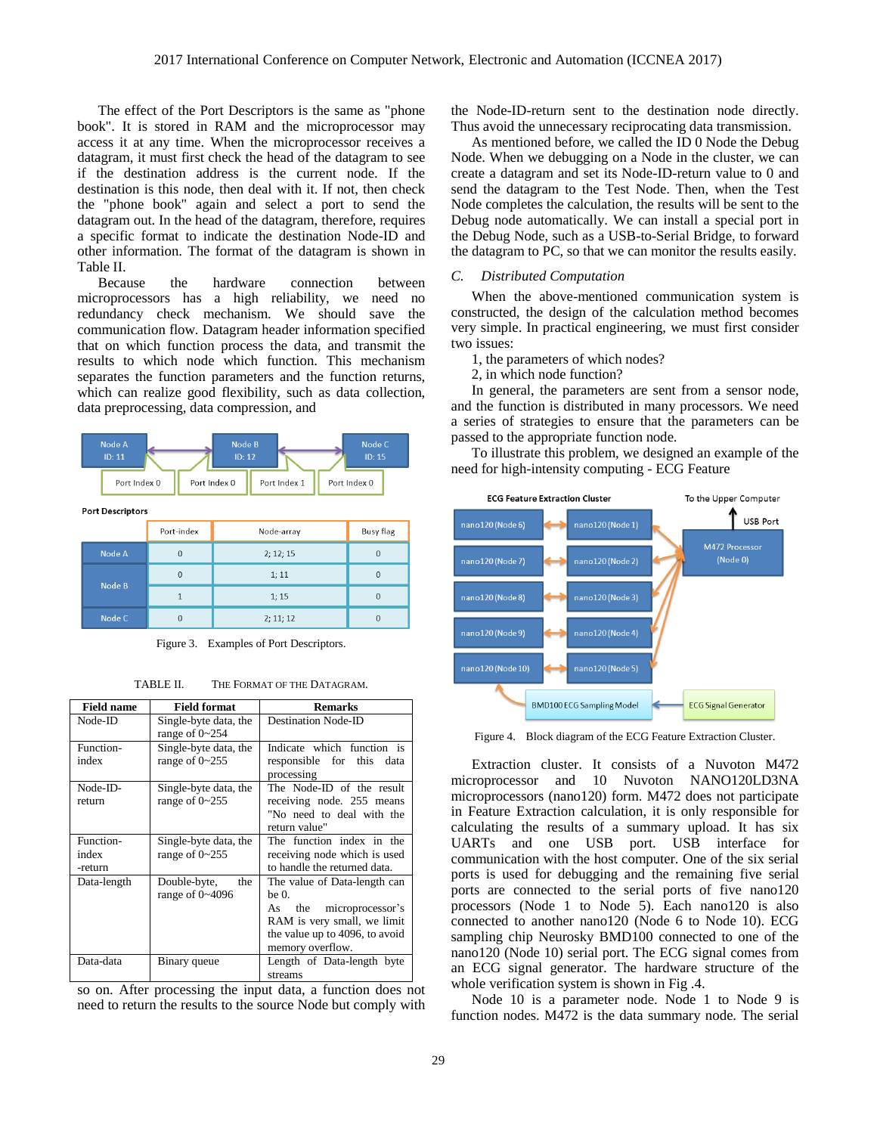The effect of the Port Descriptors is the same as "phone book". It is stored in RAM and the microprocessor may access it at any time. When the microprocessor receives a datagram, it must first check the head of the datagram to see if the destination address is the current node. If the destination is this node, then deal with it. If not, then check the "phone book" again and select a port to send the datagram out. In the head of the datagram, therefore, requires a specific format to indicate the destination Node-ID and other information. The format of the datagram is shown in Table II.

Because the hardware connection between microprocessors has a high reliability, we need no redundancy check mechanism. We should save the communication flow. Datagram header information specified that on which function process the data, and transmit the results to which node which function. This mechanism separates the function parameters and the function returns, which can realize good flexibility, such as data collection, data preprocessing, data compression, and



**Port Descriptors** 

|        | Port-index | Node-array | Busy flag |
|--------|------------|------------|-----------|
| Node A | 0          | 2; 12; 15  |           |
| Node B | 0          | 1; 11      |           |
|        |            | 1; 15      |           |
| Node C | 0          | 2; 11; 12  |           |

Figure 3. Examples of Port Descriptors.

TABLE II. THE FORMAT OF THE DATAGRAM.

| <b>Field name</b>             | <b>Field format</b>                            | <b>Remarks</b>                                                                                                                                           |
|-------------------------------|------------------------------------------------|----------------------------------------------------------------------------------------------------------------------------------------------------------|
| Node-ID                       | Single-byte data, the<br>range of $0 \sim 254$ | <b>Destination Node-ID</b>                                                                                                                               |
| Function-<br>index            | Single-byte data, the<br>range of $0 \sim 255$ | Indicate which function is<br>responsible for this data<br>processing                                                                                    |
| Node-ID-<br>return            | Single-byte data, the<br>range of $0 \sim 255$ | The Node-ID of the result<br>receiving node. 255 means<br>"No need to deal with the<br>return value"                                                     |
| Function-<br>index<br>-return | Single-byte data, the<br>range of $0 \sim 255$ | The function index in the<br>receiving node which is used<br>to handle the returned data.                                                                |
| Data-length                   | Double-byte,<br>the<br>range of $0\n-4096$     | The value of Data-length can<br>be 0.<br>the microprocessor's<br>As<br>RAM is very small, we limit<br>the value up to 4096, to avoid<br>memory overflow. |
| Data-data                     | Binary queue                                   | Length of Data-length byte<br>streams                                                                                                                    |

so on. After processing the input data, a function does not need to return the results to the source Node but comply with

the Node-ID-return sent to the destination node directly. Thus avoid the unnecessary reciprocating data transmission.

As mentioned before, we called the ID 0 Node the Debug Node. When we debugging on a Node in the cluster, we can create a datagram and set its Node-ID-return value to 0 and send the datagram to the Test Node. Then, when the Test Node completes the calculation, the results will be sent to the Debug node automatically. We can install a special port in the Debug Node, such as a USB-to-Serial Bridge, to forward the datagram to PC, so that we can monitor the results easily.

## *C. Distributed Computation*

When the above-mentioned communication system is constructed, the design of the calculation method becomes very simple. In practical engineering, we must first consider two issues:

- 1, the parameters of which nodes?
- 2, in which node function?

In general, the parameters are sent from a sensor node, and the function is distributed in many processors. We need a series of strategies to ensure that the parameters can be passed to the appropriate function node.

To illustrate this problem, we designed an example of the need for high-intensity computing - ECG Feature



Figure 4. Block diagram of the ECG Feature Extraction Cluster.

Extraction cluster. It consists of a Nuvoton M472 microprocessor and 10 Nuvoton NANO120LD3NA microprocessors (nano120) form. M472 does not participate in Feature Extraction calculation, it is only responsible for calculating the results of a summary upload. It has six UARTs and one USB port. USB interface for communication with the host computer. One of the six serial ports is used for debugging and the remaining five serial ports are connected to the serial ports of five nano120 processors (Node 1 to Node 5). Each nano120 is also connected to another nano120 (Node 6 to Node 10). ECG sampling chip Neurosky BMD100 connected to one of the nano120 (Node 10) serial port. The ECG signal comes from an ECG signal generator. The hardware structure of the whole verification system is shown in Fig .4.

Node 10 is a parameter node. Node 1 to Node 9 is function nodes. M472 is the data summary node. The serial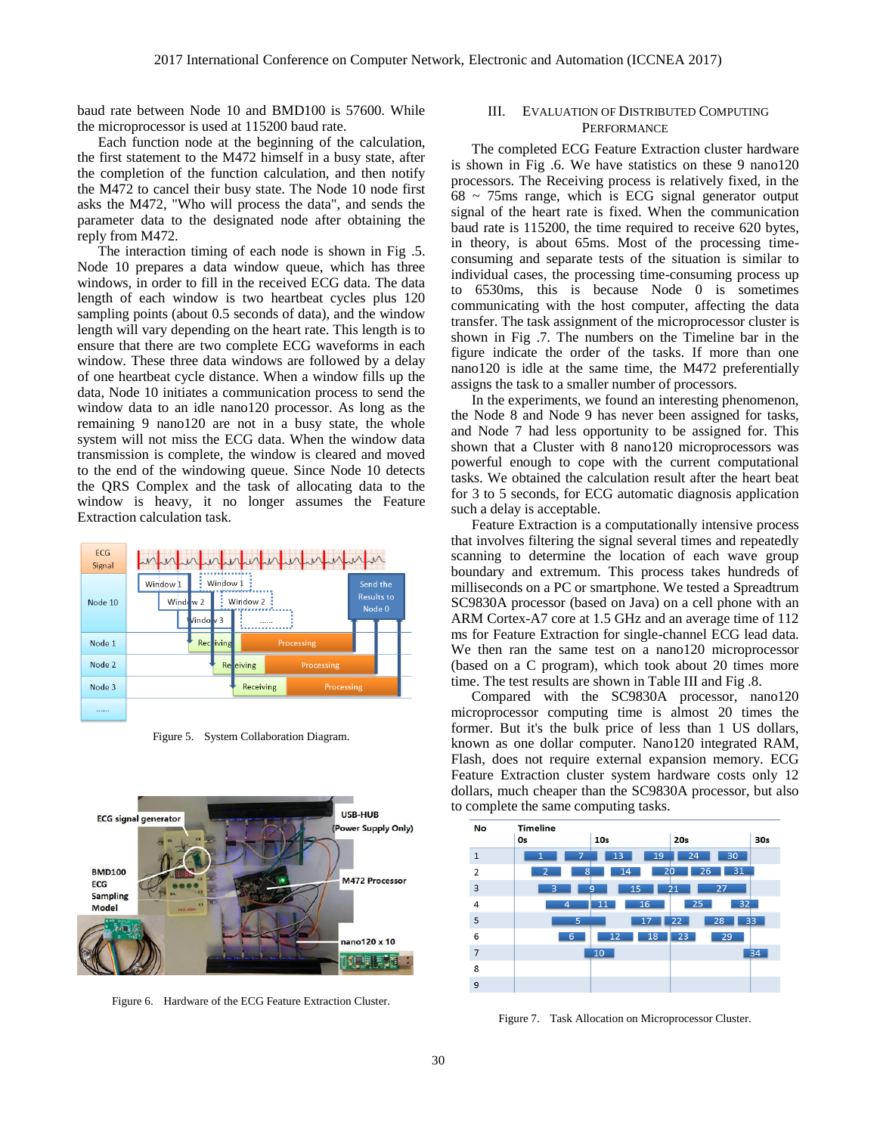baud rate between Node 10 and BMD100 is 57600. While the microprocessor is used at 115200 baud rate.

Each function node at the beginning of the calculation, the first statement to the M472 himself in a busy state, after the completion of the function calculation, and then notify the M472 to cancel their busy state. The Node 10 node first asks the M472, "Who will process the data", and sends the parameter data to the designated node after obtaining the reply from M472.

The interaction timing of each node is shown in Fig .5. Node 10 prepares a data window queue, which has three windows, in order to fill in the received ECG data. The data length of each window is two heartbeat cycles plus 120 sampling points (about 0.5 seconds of data), and the window length will vary depending on the heart rate. This length is to ensure that there are two complete ECG waveforms in each window. These three data windows are followed by a delay of one heartbeat cycle distance. When a window fills up the data, Node 10 initiates a communication process to send the window data to an idle nano120 processor. As long as the remaining 9 nano120 are not in a busy state, the whole system will not miss the ECG data. When the window data transmission is complete, the window is cleared and moved to the end of the windowing queue. Since Node 10 detects the QRS Complex and the task of allocating data to the window is heavy, it no longer assumes the Feature Extraction calculation task.



Figure 5. System Collaboration Diagram.



Figure 6. Hardware of the ECG Feature Extraction Cluster.

# III. EVALUATION OF DISTRIBUTED COMPUTING **PERFORMANCE**

The completed ECG Feature Extraction cluster hardware is shown in Fig .6. We have statistics on these 9 nano120 processors. The Receiving process is relatively fixed, in the  $68 \sim 75$ ms range, which is ECG signal generator output signal of the heart rate is fixed. When the communication baud rate is 115200, the time required to receive 620 bytes, in theory, is about 65ms. Most of the processing timeconsuming and separate tests of the situation is similar to individual cases, the processing time-consuming process up to 6530ms, this is because Node 0 is sometimes communicating with the host computer, affecting the data transfer. The task assignment of the microprocessor cluster is shown in Fig .7. The numbers on the Timeline bar in the figure indicate the order of the tasks. If more than one nano120 is idle at the same time, the M472 preferentially assigns the task to a smaller number of processors.

In the experiments, we found an interesting phenomenon, the Node 8 and Node 9 has never been assigned for tasks, and Node 7 had less opportunity to be assigned for. This shown that a Cluster with 8 nano120 microprocessors was powerful enough to cope with the current computational tasks. We obtained the calculation result after the heart beat for 3 to 5 seconds, for ECG automatic diagnosis application such a delay is acceptable.

Feature Extraction is a computationally intensive process that involves filtering the signal several times and repeatedly scanning to determine the location of each wave group boundary and extremum. This process takes hundreds of milliseconds on a PC or smartphone. We tested a Spreadtrum SC9830A processor (based on Java) on a cell phone with an ARM Cortex-A7 core at 1.5 GHz and an average time of 112 ms for Feature Extraction for single-channel ECG lead data. We then ran the same test on a nano120 microprocessor (based on a C program), which took about 20 times more time. The test results are shown in Table III and Fig .8.

Compared with the SC9830A processor, nano120 microprocessor computing time is almost 20 times the former. But it's the bulk price of less than 1 US dollars, known as one dollar computer. Nano120 integrated RAM, Flash, does not require external expansion memory. ECG Feature Extraction cluster system hardware costs only 12 dollars, much cheaper than the SC9830A processor, but also to complete the same computing tasks.



Figure 7. Task Allocation on Microprocessor Cluster.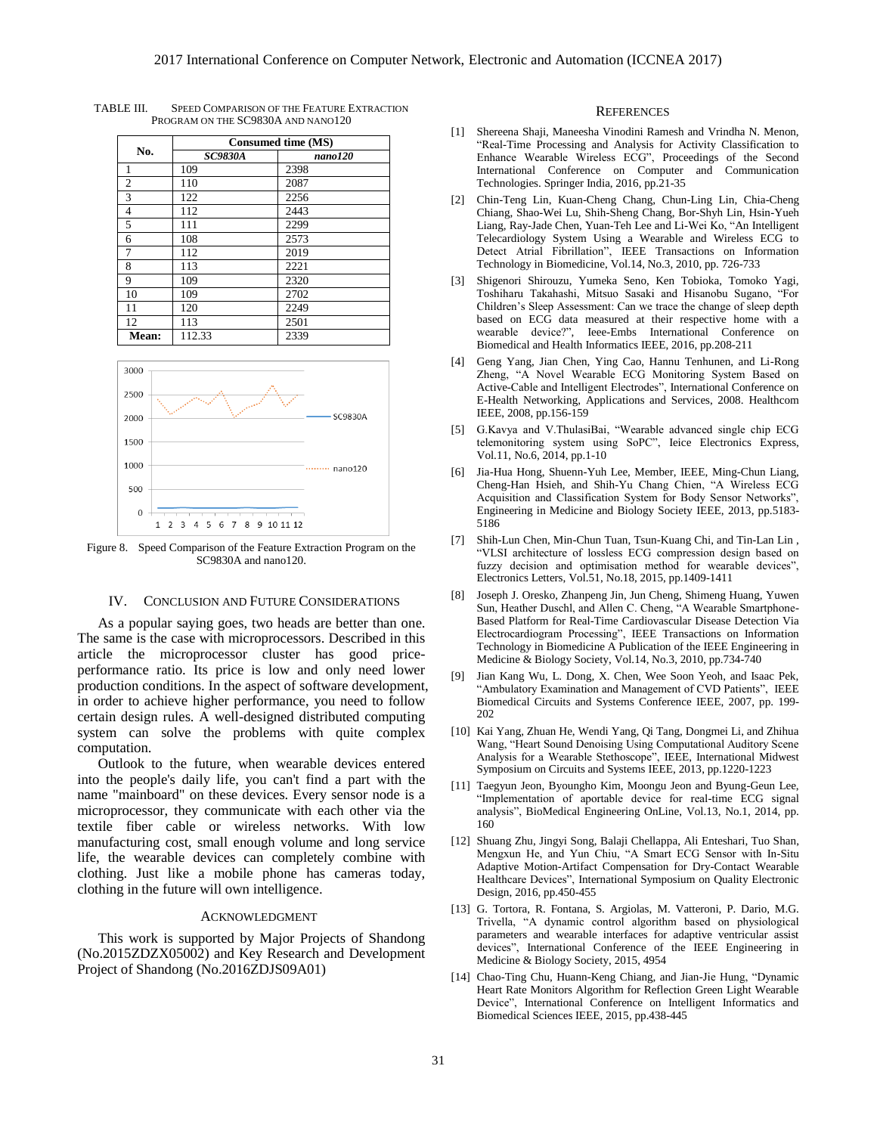| No.            | Consumed time (MS) |         |  |  |
|----------------|--------------------|---------|--|--|
|                | <b>SC9830A</b>     | nano120 |  |  |
| 1              | 109                | 2398    |  |  |
| $\overline{c}$ | 110                | 2087    |  |  |
| 3              | 122                | 2256    |  |  |
| 4              | 112                | 2443    |  |  |
| 5              | 111                | 2299    |  |  |
| 6              | 108                | 2573    |  |  |
| 7              | 112                | 2019    |  |  |
| 8              | 113                | 2221    |  |  |
| 9              | 109                | 2320    |  |  |
| 10             | 109                | 2702    |  |  |
| 11             | 120                | 2249    |  |  |
| 12             | 113                | 2501    |  |  |
| Mean:          | 112.33             | 2339    |  |  |

TABLE III. SPEED COMPARISON OF THE FEATURE EXTRACTION PROGRAM ON THE SC9830A AND NANO120



Figure 8. Speed Comparison of the Feature Extraction Program on the SC9830A and nano120.

# IV. CONCLUSION AND FUTURE CONSIDERATIONS

As a popular saying goes, two heads are better than one. The same is the case with microprocessors. Described in this article the microprocessor cluster has good priceperformance ratio. Its price is low and only need lower production conditions. In the aspect of software development, in order to achieve higher performance, you need to follow certain design rules. A well-designed distributed computing system can solve the problems with quite complex computation.

Outlook to the future, when wearable devices entered into the people's daily life, you can't find a part with the name "mainboard" on these devices. Every sensor node is a microprocessor, they communicate with each other via the textile fiber cable or wireless networks. With low manufacturing cost, small enough volume and long service life, the wearable devices can completely combine with clothing. Just like a mobile phone has cameras today, clothing in the future will own intelligence.

#### ACKNOWLEDGMENT

This work is supported by Major Projects of Shandong (No.2015ZDZX05002) and Key Research and Development Project of Shandong (No.2016ZDJS09A01)

#### **REFERENCES**

- [1] Shereena Shaji, Maneesha Vinodini Ramesh and Vrindha N. Menon, "Real-Time Processing and Analysis for Activity Classification to Enhance Wearable Wireless ECG", Proceedings of the Second International Conference on Computer and Communication Technologies. Springer India, 2016, pp.21-35
- [2] Chin-Teng Lin, Kuan-Cheng Chang, Chun-Ling Lin, Chia-Cheng Chiang, Shao-Wei Lu, Shih-Sheng Chang, Bor-Shyh Lin, Hsin-Yueh Liang, Ray-Jade Chen, Yuan-Teh Lee and Li-Wei Ko, "An Intelligent Telecardiology System Using a Wearable and Wireless ECG to Detect Atrial Fibrillation", IEEE Transactions on Information Technology in Biomedicine, Vol.14, No.3, 2010, pp. 726-733
- [3] Shigenori Shirouzu, Yumeka Seno, Ken Tobioka, Tomoko Yagi, Toshiharu Takahashi, Mitsuo Sasaki and Hisanobu Sugano, "For Children's Sleep Assessment: Can we trace the change of sleep depth based on ECG data measured at their respective home with a wearable device?", Ieee-Embs International Conference Biomedical and Health Informatics IEEE, 2016, pp.208-211
- [4] Geng Yang, Jian Chen, Ying Cao, Hannu Tenhunen, and Li-Rong Zheng, "A Novel Wearable ECG Monitoring System Based on Active-Cable and Intelligent Electrodes", International Conference on E-Health Networking, Applications and Services, 2008. Healthcom IEEE, 2008, pp.156-159
- [5] G.Kavya and V.ThulasiBai, "Wearable advanced single chip ECG telemonitoring system using SoPC", Ieice Electronics Express, Vol.11, No.6, 2014, pp.1-10
- [6] Jia-Hua Hong, Shuenn-Yuh Lee, Member, IEEE, Ming-Chun Liang, Cheng-Han Hsieh, and Shih-Yu Chang Chien, "A Wireless ECG Acquisition and Classification System for Body Sensor Networks", Engineering in Medicine and Biology Society IEEE, 2013, pp.5183- 5186
- [7] Shih-Lun Chen, Min-Chun Tuan, Tsun-Kuang Chi, and Tin-Lan Lin , "VLSI architecture of lossless ECG compression design based on fuzzy decision and optimisation method for wearable devices", Electronics Letters, Vol.51, No.18, 2015, pp.1409-1411
- [8] Joseph J. Oresko, Zhanpeng Jin, Jun Cheng, Shimeng Huang, Yuwen Sun, Heather Duschl, and Allen C. Cheng, "A Wearable Smartphone-Based Platform for Real-Time Cardiovascular Disease Detection Via Electrocardiogram Processing", IEEE Transactions on Information Technology in Biomedicine A Publication of the IEEE Engineering in Medicine & Biology Society, Vol.14, No.3, 2010, pp.734-740
- Jian Kang Wu, L. Dong, X. Chen, Wee Soon Yeoh, and Isaac Pek, "Ambulatory Examination and Management of CVD Patients", IEEE Biomedical Circuits and Systems Conference IEEE, 2007, pp. 199- 202
- [10] Kai Yang, Zhuan He, Wendi Yang, Qi Tang, Dongmei Li, and Zhihua Wang, "Heart Sound Denoising Using Computational Auditory Scene Analysis for a Wearable Stethoscope", IEEE, International Midwest Symposium on Circuits and Systems IEEE, 2013, pp.1220-1223
- [11] Taegyun Jeon, Byoungho Kim, Moongu Jeon and Byung-Geun Lee, "Implementation of aportable device for real-time ECG signal analysis", BioMedical Engineering OnLine, Vol.13, No.1, 2014, pp. 160
- [12] Shuang Zhu, Jingyi Song, Balaji Chellappa, Ali Enteshari, Tuo Shan, Mengxun He, and Yun Chiu, "A Smart ECG Sensor with In-Situ Adaptive Motion-Artifact Compensation for Dry-Contact Wearable Healthcare Devices", International Symposium on Quality Electronic Design, 2016, pp.450-455
- [13] G. Tortora, R. Fontana, S. Argiolas, M. Vatteroni, P. Dario, M.G. Trivella, "A dynamic control algorithm based on physiological parameters and wearable interfaces for adaptive ventricular assist devices", International Conference of the IEEE Engineering in Medicine & Biology Society, 2015, 4954
- [14] Chao-Ting Chu, Huann-Keng Chiang, and Jian-Jie Hung, "Dynamic Heart Rate Monitors Algorithm for Reflection Green Light Wearable Device", International Conference on Intelligent Informatics and Biomedical Sciences IEEE, 2015, pp.438-445